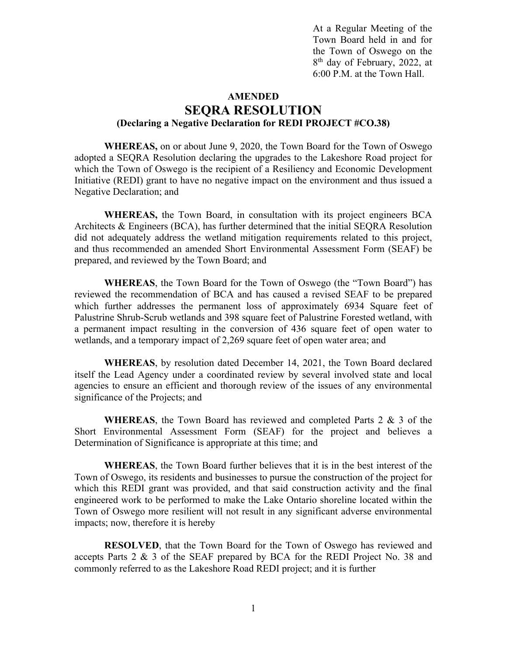At a Regular Meeting of the Town Board held in and for the Town of Oswego on the 8th day of February, 2022, at 6:00 P.M. at the Town Hall.

## **AMENDED SEQRA RESOLUTION (Declaring a Negative Declaration for REDI PROJECT #CO.38)**

**WHEREAS,** on or about June 9, 2020, the Town Board for the Town of Oswego adopted a SEQRA Resolution declaring the upgrades to the Lakeshore Road project for which the Town of Oswego is the recipient of a Resiliency and Economic Development Initiative (REDI) grant to have no negative impact on the environment and thus issued a Negative Declaration; and

**WHEREAS,** the Town Board, in consultation with its project engineers BCA Architects & Engineers (BCA), has further determined that the initial SEQRA Resolution did not adequately address the wetland mitigation requirements related to this project, and thus recommended an amended Short Environmental Assessment Form (SEAF) be prepared, and reviewed by the Town Board; and

**WHEREAS**, the Town Board for the Town of Oswego (the "Town Board") has reviewed the recommendation of BCA and has caused a revised SEAF to be prepared which further addresses the permanent loss of approximately 6934 Square feet of Palustrine Shrub-Scrub wetlands and 398 square feet of Palustrine Forested wetland, with a permanent impact resulting in the conversion of 436 square feet of open water to wetlands, and a temporary impact of 2,269 square feet of open water area; and

**WHEREAS**, by resolution dated December 14, 2021, the Town Board declared itself the Lead Agency under a coordinated review by several involved state and local agencies to ensure an efficient and thorough review of the issues of any environmental significance of the Projects; and

**WHEREAS**, the Town Board has reviewed and completed Parts 2 & 3 of the Short Environmental Assessment Form (SEAF) for the project and believes a Determination of Significance is appropriate at this time; and

**WHEREAS**, the Town Board further believes that it is in the best interest of the Town of Oswego, its residents and businesses to pursue the construction of the project for which this REDI grant was provided, and that said construction activity and the final engineered work to be performed to make the Lake Ontario shoreline located within the Town of Oswego more resilient will not result in any significant adverse environmental impacts; now, therefore it is hereby

**RESOLVED**, that the Town Board for the Town of Oswego has reviewed and accepts Parts 2 & 3 of the SEAF prepared by BCA for the REDI Project No. 38 and commonly referred to as the Lakeshore Road REDI project; and it is further